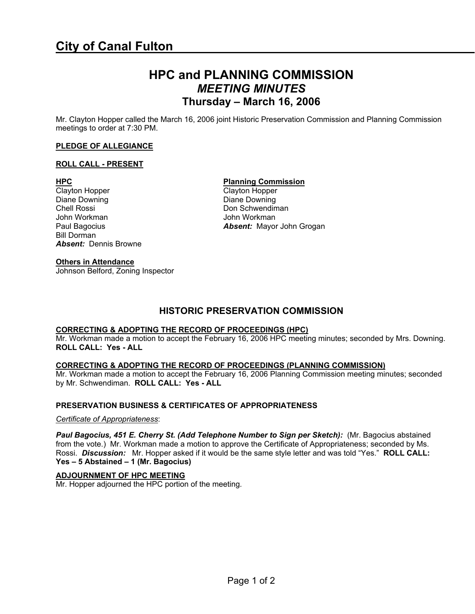# **HPC and PLANNING COMMISSION**  *MEETING MINUTES*  **Thursday – March 16, 2006**

Mr. Clayton Hopper called the March 16, 2006 joint Historic Preservation Commission and Planning Commission meetings to order at 7:30 PM.

### **PLEDGE OF ALLEGIANCE**

### **ROLL CALL - PRESENT**

Diane Downing Diane Downing Diane Downing Chell Rossi Don Schwendiman John Workman **John Workman**<br>
Paul Bagocius **Communication Communication Absent:** Mayor Bill Dorman *Absent:* Dennis Browne

# **Others in Attendance**

Johnson Belford, Zoning Inspector

# **HPC Planning Commission**

Clayton Hopper Clayton Hopper Absent: Mayor John Grogan

# **HISTORIC PRESERVATION COMMISSION**

### **CORRECTING & ADOPTING THE RECORD OF PROCEEDINGS (HPC)**

Mr. Workman made a motion to accept the February 16, 2006 HPC meeting minutes; seconded by Mrs. Downing. **ROLL CALL: Yes - ALL** 

### **CORRECTING & ADOPTING THE RECORD OF PROCEEDINGS (PLANNING COMMISSION)**

Mr. Workman made a motion to accept the February 16, 2006 Planning Commission meeting minutes; seconded by Mr. Schwendiman. **ROLL CALL: Yes - ALL** 

# **PRESERVATION BUSINESS & CERTIFICATES OF APPROPRIATENESS**

### *Certificate of Appropriateness*:

Paul Bagocius, 451 E. Cherry St. (Add Telephone Number to Sign per Sketch): (Mr. Bagocius abstained from the vote.) Mr. Workman made a motion to approve the Certificate of Appropriateness; seconded by Ms. Rossi. *Discussion:* Mr. Hopper asked if it would be the same style letter and was told "Yes." **ROLL CALL: Yes – 5 Abstained – 1 (Mr. Bagocius)** 

# **ADJOURNMENT OF HPC MEETING**

Mr. Hopper adjourned the HPC portion of the meeting*.*